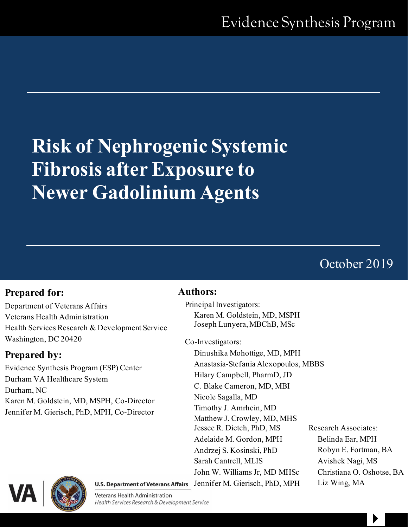# **Risk of Nephrogenic Systemic Fibrosis after Exposure to Newer Gadolinium Agents**

# October 2019

# **Prepared for:**

Department of Veterans Affairs Veterans Health Administration Health Services Research & Development Service Washington, DC 20420

# **Prepared by:**

Evidence Synthesis Program (ESP) Center Durham VA Healthcare System Durham, NC Karen M. Goldstein, MD, MSPH, Co-Director Jennifer M. Gierisch, PhD, MPH, Co-Director

## **Authors:**

Principal Investigators: Karen M. Goldstein, MD, MSPH Joseph Lunyera, MBChB, MSc

Co-Investigators:

Dinushika Mohottige, MD, MPH Anastasia-Stefania Alexopoulos, MBBS Hilary Campbell, PharmD, JD C. Blake Cameron, MD, MBI Nicole Sagalla, MD Timothy J. Amrhein, MD Matthew J. Crowley, MD, MHS Jessee R. Dietch, PhD, MS Research Associates: Adelaide M. Gordon, MPH Belinda Ear, MPH Andrzej S. Kosinski, PhD Robyn E. Fortman, BA Sarah Cantrell, MLIS Avishek Nagi, MS John W. Williams Jr, MD MHSc Christiana O. Oshotse, BA U.S. Department of Veterans Affairs [Jennif](https://www.hsrd.research.va.gov/)er M. Gierisch, PhD, MPH Liz Wing, MA

 $\begin{array}{c} \hline \end{array}$ 



Veterans Health Administration Health Services Research & Development Service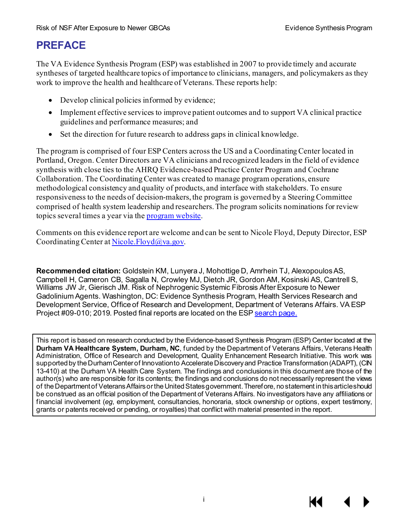# **PREFACE**

The VA Evidence Synthesis Program (ESP) was established in 2007 to provide timely and accurate syntheses of targeted healthcare topics of importance to clinicians, managers, and policymakers as they work to improve the health and healthcare of Veterans. These reports help:

- Develop clinical policies informed by evidence;
- Implement effective services to improve patient outcomes and to support VA clinical practice guidelines and performance measures; and
- Set the direction for future research to address gaps in clinical knowledge.

The program is comprised of four ESP Centers across the US and a Coordinating Center located in Portland, Oregon. Center Directors are VA clinicians and recognized leaders in the field of evidence synthesis with close ties to the AHRQ Evidence-based Practice Center Program and Cochrane Collaboration. The Coordinating Center was created to manage program operations, ensure methodological consistency and quality of products, and interface with stakeholders. To ensure responsiveness to the needs of decision-makers, the program is governed by a Steering Committee comprised of health system leadership and researchers.The program solicits nominations for review topics several times a year via th[e program website](https://www.hsrd.research.va.gov/publications/esp/TopicNomination.cfm).

Comments on this evidence report are welcome and can be sent to Nicole Floyd, Deputy Director, ESP Coordinating Center a[t Nicole.Floyd@va.gov](mailto:Nicole.Floyd@va.gov).

**Recommended citation:** Goldstein KM, Lunyera J, Mohottige D, Amrhein TJ, Alexopoulos AS, Campbell H, Cameron CB, Sagalla N, Crowley MJ, Dietch JR, Gordon AM, Kosinski AS, Cantrell S, Williams JW Jr, Gierisch JM. Risk of Nephrogenic Systemic Fibrosis After Exposure to Newer Gadolinium Agents. Washington, DC: Evidence Synthesis Program, Health Services Research and Development Service, Office of Research and Development, Department of Veterans Affairs. VA ESP Project #09-010; 2019. Posted final reports are located on the ES[P search page.](https://www.hsrd.research.va.gov/publications/esp/reports.cfm)

This report is based on research conducted by the Evidence-based Synthesis Program (ESP) Center located at the **Durham VA Healthcare System, Durham, NC**, funded by the Department of Veterans Affairs, Veterans Health Administration, Office of Research and Development, Quality Enhancement Research Initiative. This work was supported by the Durham Center of Innovation to Accelerate Discovery and Practice Transformation (ADAPT), (CIN 13-410) at the Durham VA Health Care System. The findings and conclusions in this document are those of the author(s) who are responsible for its contents; the findings and conclusions do not necessarily represent the views of the Department of Veterans Affairs or the United States government. Therefore, no statement in this article should be construed as an official position of the Department of Veterans Affairs. No investigators have any affiliations or financial involvement (*eg*, employment, consultancies, honoraria, stock ownership or options, expert testimony, grants or patents received or pending, or royalties) that conflict with material presented in the report.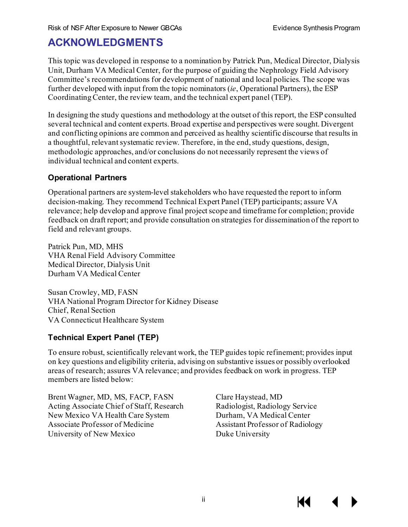# **ACKNOWLEDGMENTS**

This topic was developed in response to a nomination by Patrick Pun, Medical Director, Dialysis Unit, Durham VA Medical Center, for the purpose of guiding the Nephrology Field Advisory Committee's recommendations for development of national and local policies. The scope was further developed with input from the topic nominators (*ie*, Operational Partners), the ESP Coordinating Center, the review team, and the technical expert panel (TEP).

In designing the study questions and methodology at the outset of this report, the ESP consulted several technical and content experts. Broad expertise and perspectives were sought. Divergent and conflicting opinions are common and perceived as healthy scientific discourse that results in a thoughtful, relevant systematic review. Therefore, in the end, study questions, design, methodologic approaches, and/or conclusions do not necessarily represent the views of individual technical and content experts.

#### **Operational Partners**

Operational partners are system-level stakeholders who have requested the report to inform decision-making. They recommend Technical Expert Panel (TEP) participants; assure VA relevance; help develop and approve final project scope and timeframe for completion; provide feedback on draft report; and provide consultation on strategies for dissemination of the report to field and relevant groups.

Patrick Pun, MD, MHS VHA Renal Field Advisory Committee Medical Director, Dialysis Unit Durham VA Medical Center

Susan Crowley, MD, FASN VHA National Program Director for Kidney Disease Chief, Renal Section VA Connecticut Healthcare System

## **Technical Expert Panel (TEP)**

To ensure robust, scientifically relevant work, the TEP guides topic refinement; provides input on key questions and eligibility criteria, advising on substantive issues or possibly overlooked areas of research; assures VA relevance; and provides feedback on work in progress. TEP members are listed below:

Brent Wagner, MD, MS, FACP, FASN Acting Associate Chief of Staff, Research New Mexico VA Health Care System Associate Professor of Medicine University of New Mexico

Clare Haystead, MD Radiologist, Radiology Service Durham, VA Medical Center Assistant Professor of Radiology Duke University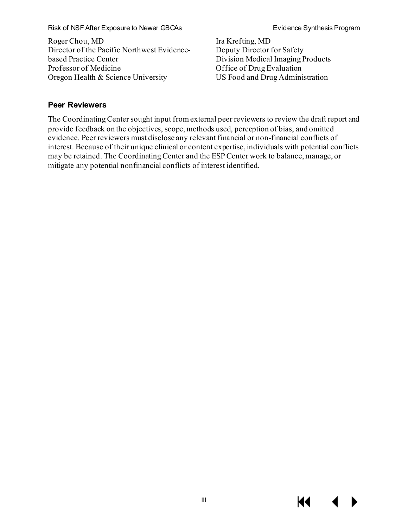#### Risk of NSF After Exposure to Newer GBCAs **Exposure Exposure Exposure CECAS** Evidence Synthesis Program

Roger Chou, MD Director of the Pacific Northwest Evidencebased Practice Center Professor of Medicine Oregon Health & Science University

Ira Krefting, MD Deputy Director for Safety Division Medical Imaging Products Office of Drug Evaluation US Food and Drug Administration

#### **Peer Reviewers**

The Coordinating Center sought input from external peer reviewers to review the draft report and provide feedback on the objectives, scope, methods used, perception of bias, and omitted evidence. Peer reviewers must disclose any relevant financial or non-financial conflicts of interest. Because of their unique clinical or content expertise, individuals with potential conflicts may be retained. The Coordinating Center and the ESP Center work to balance, manage, or mitigate any potential nonfinancial conflicts of interest identified.

KI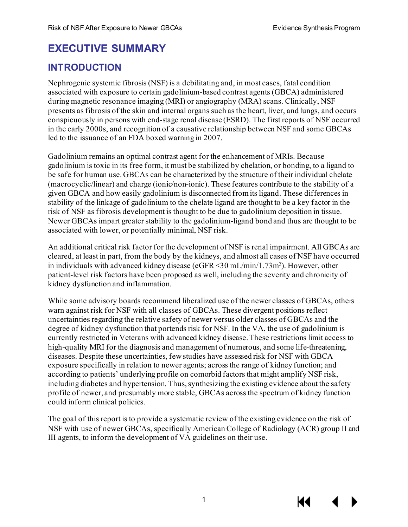# **EXECUTIVE SUMMARY**

## **INTRODUCTION**

Nephrogenic systemic fibrosis (NSF) is a debilitating and, in most cases, fatal condition associated with exposure to certain gadolinium-based contrast agents (GBCA) administered during magnetic resonance imaging (MRI) or angiography (MRA) scans. Clinically, NSF presents as fibrosis of the skin and internal organs such as the heart, liver, and lungs, and occurs conspicuously in persons with end-stage renal disease (ESRD). The first reports of NSF occurred in the early 2000s, and recognition of a causative relationship between NSF and some GBCAs led to the issuance of an FDA boxed warning in 2007.

Gadolinium remains an optimal contrast agent for the enhancement of MRIs. Because gadolinium is toxic in its free form, it must be stabilized by chelation, or bonding, to a ligand to be safe for human use. GBCAs can be characterized by the structure of their individual chelate (macrocyclic/linear) and charge (ionic/non-ionic). These features contribute to the stability of a given GBCA and how easily gadolinium is disconnected from its ligand. These differences in stability of the linkage of gadolinium to the chelate ligand are thought to be a key factor in the risk of NSF as fibrosis development is thought to be due to gadolinium deposition in tissue. Newer GBCAs impart greater stability to the gadolinium-ligand bond and thus are thought to be associated with lower, or potentially minimal, NSF risk.

An additional critical risk factor for the development of NSF is renal impairment. All GBCAs are cleared, at least in part, from the body by the kidneys, and almost all cases of NSF have occurred in individuals with advanced kidney disease (eGFR <30 mL/min/1.73m2). However, other patient-level risk factors have been proposed as well, including the severity and chronicity of kidney dysfunction and inflammation.

While some advisory boards recommend liberalized use of the newer classes of GBCAs, others warn against risk for NSF with all classes of GBCAs. These divergent positions reflect uncertainties regarding the relative safety of newer versus older classes of GBCAs and the degree of kidney dysfunction that portends risk for NSF. In the VA, the use of gadolinium is currently restricted in Veterans with advanced kidney disease. These restrictions limit access to high-quality MRI for the diagnosis and management of numerous, and some life-threatening, diseases. Despite these uncertainties, few studies have assessed risk for NSF with GBCA exposure specifically in relation to newer agents; across the range of kidney function; and according to patients' underlying profile on comorbid factors that might amplify NSF risk, including diabetes and hypertension. Thus, synthesizing the existing evidence about the safety profile of newer, and presumably more stable, GBCAs across the spectrum of kidney function could inform clinical policies.

The goal of this report is to provide a systematic review of the existing evidence on the risk of NSF with use of newer GBCAs, specifically American College of Radiology (ACR) group II and III agents, to inform the development of VA guidelines on their use.

1

KI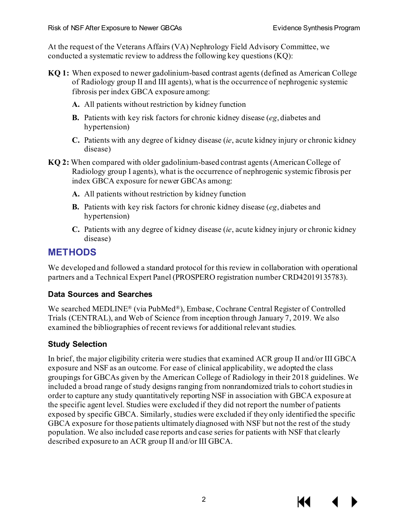At the request of the Veterans Affairs (VA) Nephrology Field Advisory Committee, we conducted a systematic review to address the following key questions (KQ):

- **KQ 1:** When exposed to newer gadolinium-based contrast agents (defined as American College of Radiology group II and III agents), what is the occurrence of nephrogenic systemic fibrosis per index GBCA exposure among:
	- **A.** All patients without restriction by kidney function
	- **B.** Patients with key risk factors for chronic kidney disease (*eg*, diabetes and hypertension)
	- **C.** Patients with any degree of kidney disease (*ie*, acute kidney injury or chronic kidney disease)
- **KQ 2:** When compared with older gadolinium-based contrast agents (American College of Radiology group I agents), what is the occurrence of nephrogenic systemic fibrosis per index GBCA exposure for newer GBCAs among:
	- **A.** All patients without restriction by kidney function
	- **B.** Patients with key risk factors for chronic kidney disease (*eg*, diabetes and hypertension)
	- **C.** Patients with any degree of kidney disease (*ie*, acute kidney injury or chronic kidney disease)

# **METHODS**

We developed and followed a standard protocol for this review in collaboration with operational partners and a Technical Expert Panel (PROSPERO registration number CRD42019135783).

#### **Data Sources and Searches**

We searched MEDLINE® (via PubMed®), Embase, Cochrane Central Register of Controlled Trials (CENTRAL), and Web of Science from inception through January 7, 2019. We also examined the bibliographies of recent reviews for additional relevant studies.

## **Study Selection**

In brief, the major eligibility criteria were studies that examined ACR group II and/or III GBCA exposure and NSF as an outcome. For ease of clinical applicability, we adopted the class groupings for GBCAs given by the American College of Radiology in their 2018 guidelines. We included a broad range of study designs ranging from nonrandomized trials to cohort studies in order to capture any study quantitatively reporting NSF in association with GBCA exposure at the specific agent level. Studies were excluded if they did not report the number of patients exposed by specific GBCA. Similarly, studies were excluded if they only identified the specific GBCA exposure for those patients ultimately diagnosed with NSF but not the rest of the study population. We also included case reports and case series for patients with NSF that clearly described exposure to an ACR group II and/or III GBCA.

К€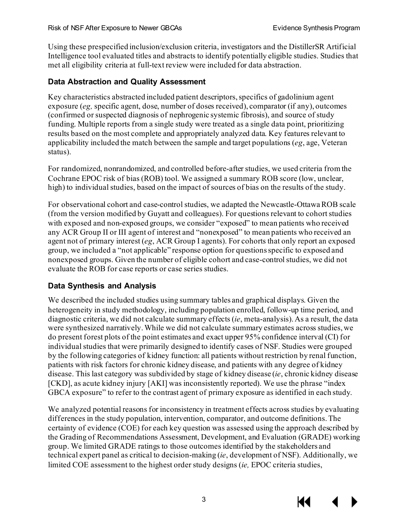Using these prespecified inclusion/exclusion criteria, investigators and the DistillerSR Artificial Intelligence tool evaluated titles and abstracts to identify potentially eligible studies. Studies that met all eligibility criteria at full-text review were included for data abstraction.

#### **Data Abstraction and Quality Assessment**

Key characteristics abstracted included patient descriptors, specifics of gadolinium agent exposure (*eg,* specific agent, dose, number of doses received), comparator (if any), outcomes (confirmed or suspected diagnosis of nephrogenic systemic fibrosis), and source of study funding. Multiple reports from a single study were treated as a single data point, prioritizing results based on the most complete and appropriately analyzed data. Key features relevant to applicability included the match between the sample and target populations (*eg*, age, Veteran status).

For randomized, nonrandomized, and controlled before-after studies, we used criteria from the Cochrane EPOC risk of bias (ROB) tool. We assigned a summary ROB score (low, unclear, high) to individual studies, based on the impact of sources of bias on the results of the study.

For observational cohort and case-control studies, we adapted the Newcastle-Ottawa ROB scale (from the version modified by Guyatt and colleagues). For questions relevant to cohort studies with exposed and non-exposed groups, we consider "exposed" to mean patients who received any ACR Group II or III agent of interest and "nonexposed" to mean patients who received an agent not of primary interest (*eg*, ACR Group I agents). For cohorts that only report an exposed group, we included a "not applicable" response option for questions specific to exposed and nonexposed groups. Given the number of eligible cohort and case-control studies, we did not evaluate the ROB for case reports or case series studies.

#### **Data Synthesis and Analysis**

We described the included studies using summary tables and graphical displays. Given the heterogeneity in study methodology, including population enrolled, follow-up time period, and diagnostic criteria, we did not calculate summary effects (*ie*, meta-analysis). As a result, the data were synthesized narratively. While we did not calculate summary estimates across studies, we do present forest plots of the point estimates and exact upper 95% confidence interval (CI) for individual studies that were primarily designed to identify cases of NSF. Studies were grouped by the following categories of kidney function: all patients without restriction by renal function, patients with risk factors for chronic kidney disease, and patients with any degree of kidney disease. This last category was subdivided by stage of kidney disease (*ie*, chronic kidney disease [CKD], as acute kidney injury [AKI] was inconsistently reported). We use the phrase "index GBCA exposure" to refer to the contrast agent of primary exposure as identified in each study.

We analyzed potential reasons for inconsistency in treatment effects across studies by evaluating differences in the study population, intervention, comparator, and outcome definitions. The certainty of evidence (COE) for each key question was assessed using the approach described by the Grading of Recommendations Assessment, Development, and Evaluation (GRADE) working group. We limited GRADE ratings to those outcomes identified by the stakeholders and technical expert panel as critical to decision-making (*ie*, development of NSF). Additionally, we limited COE assessment to the highest order study designs (*ie,* EPOC criteria studies,

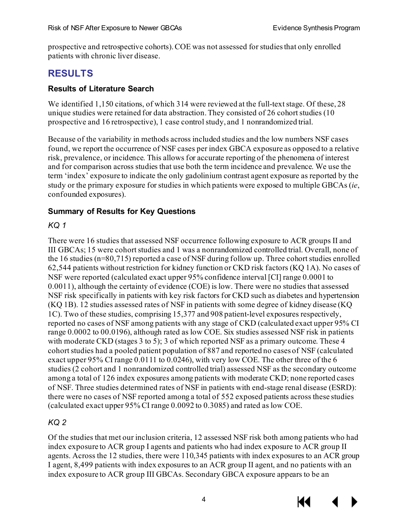prospective and retrospective cohorts). COE was not assessed for studies that only enrolled patients with chronic liver disease.

# **RESULTS**

#### **Results of Literature Search**

We identified 1,150 citations, of which 314 were reviewed at the full-text stage. Of these, 28 unique studies were retained for data abstraction. They consisted of 26 cohort studies (10 prospective and 16 retrospective), 1 case control study, and 1 nonrandomized trial.

Because of the variability in methods across included studies and the low numbers NSF cases found, we report the occurrence of NSF cases per index GBCA exposure as opposed to a relative risk, prevalence, or incidence. This allows for accurate reporting of the phenomena of interest and for comparison across studies that use both the term incidence and prevalence. We use the term 'index' exposure to indicate the only gadolinium contrast agent exposure as reported by the study or the primary exposure for studies in which patients were exposed to multiple GBCAs (*ie*, confounded exposures).

#### **Summary of Results for Key Questions**

#### *KQ 1*

There were 16 studies that assessed NSF occurrence following exposure to ACR groups II and III GBCAs; 15 were cohort studies and 1 was a nonrandomized controlled trial. Overall, none of the 16 studies (n=80,715) reported a case of NSF during follow up. Three cohort studies enrolled 62,544 patients without restriction for kidney function or CKD risk factors (KQ 1A). No cases of NSF were reported (calculated exact upper 95% confidence interval [CI] range 0.0001 to 0.0011), although the certainty of evidence (COE) is low. There were no studies that assessed NSF risk specifically in patients with key risk factors for CKD such as diabetes and hypertension (KQ 1B). 12 studies assessed rates of NSF in patients with some degree of kidney disease (KQ 1C). Two of these studies, comprising 15,377 and 908 patient-level exposures respectively, reported no cases of NSF among patients with any stage of CKD (calculated exact upper 95% CI range 0.0002 to 00.0196), although rated as low COE. Six studies assessed NSF risk in patients with moderate CKD (stages 3 to 5); 3 of which reported NSF as a primary outcome. These 4 cohort studies had a pooled patient population of 887 and reported no cases of NSF (calculated exact upper 95% CI range 0.0111 to 0.0246), with very low COE. The other three of the 6 studies (2 cohort and 1 nonrandomized controlled trial) assessed NSF as the secondary outcome among a total of 126 index exposures among patients with moderate CKD; none reported cases of NSF. Three studies determined rates of NSF in patients with end-stage renal disease (ESRD): there were no cases of NSF reported among a total of 552 exposed patients across these studies (calculated exact upper 95% CI range 0.0092 to 0.3085) and rated as low COE.

#### *KQ 2*

Of the studies that met our inclusion criteria, 12 assessed NSF risk both among patients who had index exposure to ACR group I agents and patients who had index exposure to ACR group II agents. Across the 12 studies, there were 110,345 patients with index exposures to an ACR group I agent, 8,499 patients with index exposures to an ACR group II agent, and no patients with an index exposure to ACR group III GBCAs. Secondary GBCA exposure appears to be an

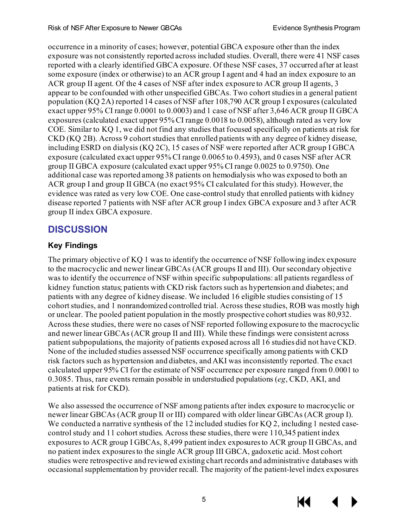occurrence in a minority of cases; however, potential GBCA exposure other than the index exposure was not consistently reported across included studies. Overall, there were 41 NSF cases reported with a clearly identified GBCA exposure. Of these NSF cases, 37 occurred after at least some exposure (index or otherwise) to an ACR group I agent and 4 had an index exposure to an ACR group II agent. Of the 4 cases of NSF after index exposure to ACR group II agents, 3 appear to be confounded with other unspecified GBCAs. Two cohort studies in a general patient population (KQ 2A) reported 14 cases of NSF after 108,790 ACR group I exposures (calculated exact upper 95% CI range 0.0001 to 0.0003) and 1 case of NSF after 3,646 ACR group II GBCA exposures (calculated exact upper 95% CI range 0.0018 to 0.0058), although rated as very low COE. Similar to KQ 1, we did not find any studies that focused specifically on patients at risk for CKD (KQ 2B). Across 9 cohort studies that enrolled patients with any degree of kidney disease, including ESRD on dialysis (KQ 2C), 15 cases of NSF were reported after ACR group I GBCA exposure (calculated exact upper 95% CI range 0.0065 to 0.4593), and 0 cases NSF after ACR group II GBCA exposure (calculated exact upper 95% CI range 0.0025 to 0.9750). One additional case was reported among 38 patients on hemodialysis who was exposed to both an ACR group I and group II GBCA (no exact 95% CI calculated for this study). However, the evidence was rated as very low COE. One case-control study that enrolled patients with kidney disease reported 7 patients with NSF after ACR group I index GBCA exposure and 3 after ACR group II index GBCA exposure.

# **DISCUSSION**

#### **Key Findings**

The primary objective of KQ 1 was to identify the occurrence of NSF following index exposure to the macrocyclic and newer linear GBCAs (ACR groups II and III). Our secondary objective was to identify the occurrence of NSF within specific subpopulations: all patients regardless of kidney function status; patients with CKD risk factors such as hypertension and diabetes; and patients with any degree of kidney disease. We included 16 eligible studies consisting of 15 cohort studies, and 1 nonrandomized controlled trial. Across these studies, ROB was mostly high or unclear. The pooled patient population in the mostly prospective cohort studies was 80,932. Across these studies, there were no cases of NSF reported following exposure to the macrocyclic and newer linear GBCAs (ACR group II and III). While these findings were consistent across patient subpopulations, the majority of patients exposed across all 16 studies did not have CKD. None of the included studies assessed NSF occurrence specifically among patients with CKD risk factors such as hypertension and diabetes, and AKI was inconsistently reported. The exact calculated upper 95% CI for the estimate of NSF occurrence per exposure ranged from 0.0001 to 0.3085. Thus, rare events remain possible in understudied populations (*eg*, CKD, AKI, and patients at risk for CKD).

We also assessed the occurrence of NSF among patients after index exposure to macrocyclic or newer linear GBCAs (ACR group II or III) compared with older linear GBCAs (ACR group I). We conducted a narrative synthesis of the 12 included studies for KQ 2, including 1 nested casecontrol study and 11 cohort studies. Across these studies, there were 110,345 patient index exposures to ACR group I GBCAs, 8,499 patient index exposures to ACR group II GBCAs, and no patient index exposures to the single ACR group III GBCA, gadoxetic acid. Most cohort studies were retrospective and reviewed existing chart records and administrative databases with occasional supplementation by provider recall. The majority of the patient-level index exposures



КK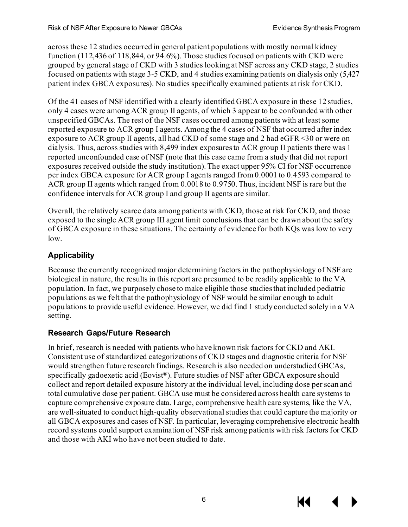across these 12 studies occurred in general patient populations with mostly normal kidney function (112,436 of 118,844, or 94.6%). Those studies focused on patients with CKD were grouped by general stage of CKD with 3 studies looking at NSF across any CKD stage, 2 studies focused on patients with stage 3-5 CKD, and 4 studies examining patients on dialysis only (5,427 patient index GBCA exposures). No studies specifically examined patients at risk for CKD.

Of the 41 cases of NSF identified with a clearly identified GBCA exposure in these 12 studies, only 4 cases were among ACR group II agents, of which 3 appear to be confounded with other unspecified GBCAs. The rest of the NSF cases occurred among patients with at least some reported exposure to ACR group I agents. Among the 4 cases of NSF that occurred after index exposure to ACR group II agents, all had CKD of some stage and 2 had eGFR <30 or were on dialysis. Thus, across studies with 8,499 index exposures to ACR group II patients there was 1 reported unconfounded case of NSF (note that this case came from a study that did not report exposures received outside the study institution). The exact upper 95% CI for NSF occurrence per index GBCA exposure for ACR group I agents ranged from 0.0001 to 0.4593 compared to ACR group II agents which ranged from 0.0018 to 0.9750. Thus, incident NSF is rare but the confidence intervals for ACR group I and group II agents are similar.

Overall, the relatively scarce data among patients with CKD, those at risk for CKD, and those exposed to the single ACR group III agent limit conclusions that can be drawn about the safety of GBCA exposure in these situations. The certainty of evidence for both KQs was low to very low.

## **Applicability**

Because the currently recognized major determining factors in the pathophysiology of NSF are biological in nature, the results in this report are presumed to be readily applicable to the VA population. In fact, we purposely chose to make eligible those studies that included pediatric populations as we felt that the pathophysiology of NSF would be similar enough to adult populations to provide useful evidence. However, we did find 1 study conducted solely in a VA setting.

#### **Research Gaps/Future Research**

In brief, research is needed with patients who have known risk factors for CKD and AKI. Consistent use of standardized categorizations of CKD stages and diagnostic criteria for NSF would strengthen future research findings. Research is also needed on understudied GBCAs, specifically gadoexetic acid (Eovist®). Future studies of NSF after GBCA exposure should collect and report detailed exposure history at the individual level, including dose per scan and total cumulative dose per patient. GBCA use must be considered across health care systems to capture comprehensive exposure data. Large, comprehensive health care systems, like the VA, are well-situated to conduct high-quality observational studies that could capture the majority or all GBCA exposures and cases of NSF. In particular, leveraging comprehensive electronic health record systems could support examination of NSF risk among patients with risk factors for CKD and those with AKI who have not been studied to date.